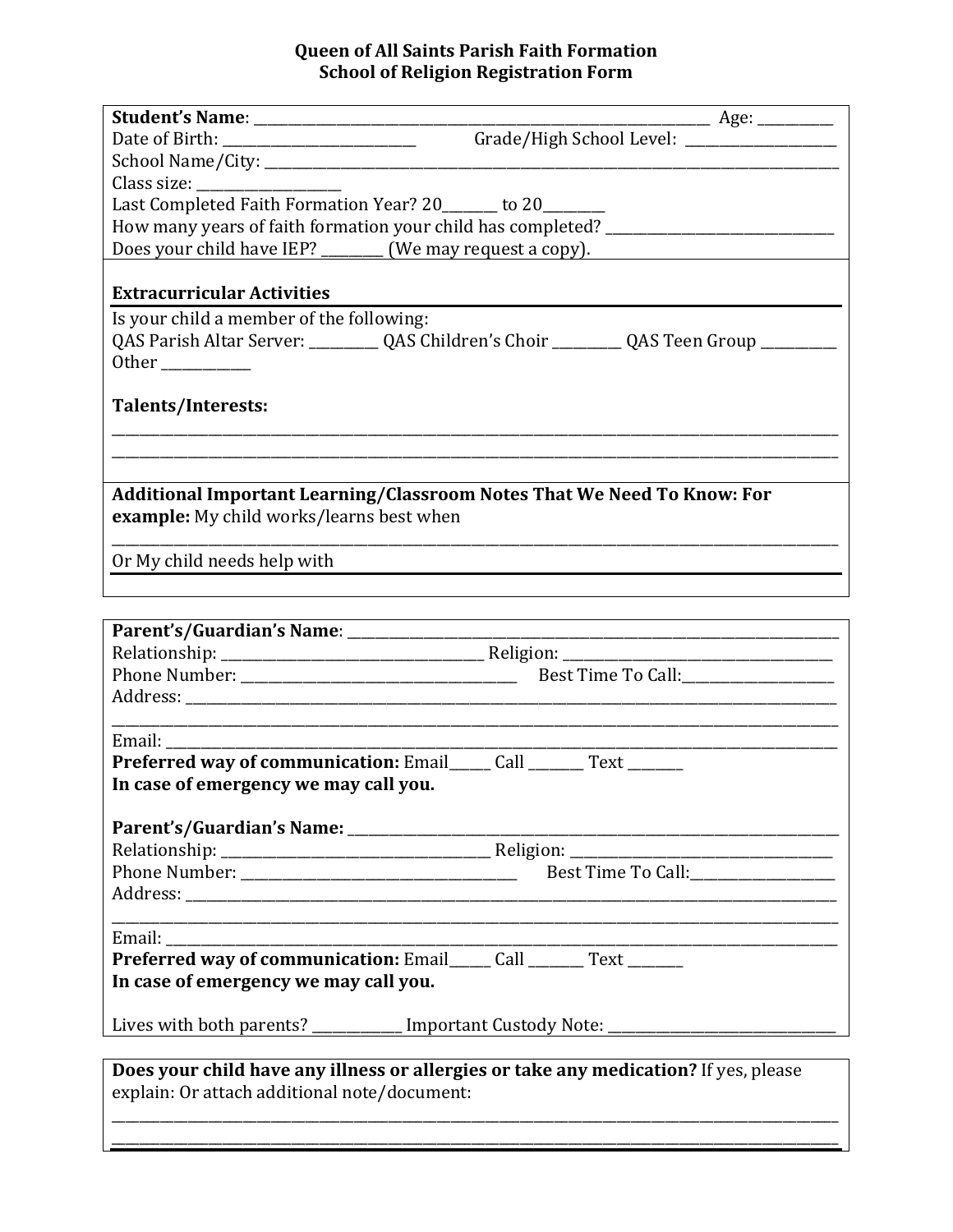## **Queen of All Saints Parish Faith Formation School of Religion Registration Form**

|                                                                                                                     | Date of Birth: __________________________________Grade/High School Level: _________________________ |  |  |
|---------------------------------------------------------------------------------------------------------------------|-----------------------------------------------------------------------------------------------------|--|--|
|                                                                                                                     |                                                                                                     |  |  |
|                                                                                                                     |                                                                                                     |  |  |
| Last Completed Faith Formation Year? 20______ to 20______                                                           |                                                                                                     |  |  |
|                                                                                                                     | How many years of faith formation your child has completed? _____________________                   |  |  |
|                                                                                                                     | Does your child have IEP? ________ (We may request a copy).                                         |  |  |
| <b>Extracurricular Activities</b>                                                                                   |                                                                                                     |  |  |
| Is your child a member of the following:                                                                            |                                                                                                     |  |  |
|                                                                                                                     |                                                                                                     |  |  |
|                                                                                                                     |                                                                                                     |  |  |
| Talents/Interests:                                                                                                  |                                                                                                     |  |  |
|                                                                                                                     |                                                                                                     |  |  |
|                                                                                                                     |                                                                                                     |  |  |
| Additional Important Learning/Classroom Notes That We Need To Know: For<br>example: My child works/learns best when |                                                                                                     |  |  |
| Or My child needs help with                                                                                         |                                                                                                     |  |  |
|                                                                                                                     |                                                                                                     |  |  |
|                                                                                                                     |                                                                                                     |  |  |
|                                                                                                                     |                                                                                                     |  |  |
|                                                                                                                     |                                                                                                     |  |  |
|                                                                                                                     |                                                                                                     |  |  |
|                                                                                                                     |                                                                                                     |  |  |
|                                                                                                                     |                                                                                                     |  |  |
| Email: ______                                                                                                       |                                                                                                     |  |  |
| <b>Preferred way of communication: Email_____ Call _______ Text _______</b>                                         |                                                                                                     |  |  |
| In case of emergency we may call you.                                                                               |                                                                                                     |  |  |
|                                                                                                                     |                                                                                                     |  |  |
|                                                                                                                     |                                                                                                     |  |  |
|                                                                                                                     |                                                                                                     |  |  |
|                                                                                                                     |                                                                                                     |  |  |
|                                                                                                                     |                                                                                                     |  |  |
|                                                                                                                     |                                                                                                     |  |  |
| Preferred way of communication: Email_____ Call ______ Text ______                                                  |                                                                                                     |  |  |
| In case of emergency we may call you.                                                                               |                                                                                                     |  |  |
|                                                                                                                     | Lives with both parents? __________ Important Custody Note: _____________________                   |  |  |
| evolain: Or attach additional note (decument:                                                                       | Does your child have any illness or allergies or take any medication? If yes, please                |  |  |

explain: Or attach additional note/document: